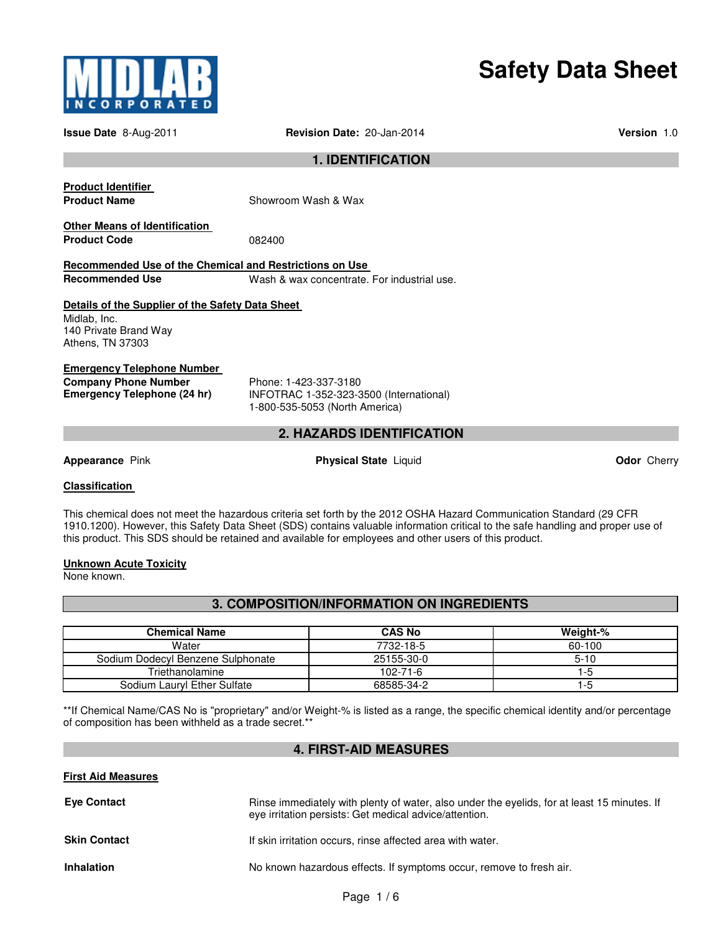

# **Safety Data Sheet**

| <b>Issue Date 8-Aug-2011</b>                                                                                  | <b>Revision Date: 20-Jan-2014</b>                                                                  | <b>Version 1.0</b> |
|---------------------------------------------------------------------------------------------------------------|----------------------------------------------------------------------------------------------------|--------------------|
|                                                                                                               | <b>1. IDENTIFICATION</b>                                                                           |                    |
| <b>Product Identifier</b><br><b>Product Name</b>                                                              | Showroom Wash & Wax                                                                                |                    |
| <b>Other Means of Identification</b><br><b>Product Code</b>                                                   | 082400                                                                                             |                    |
| Recommended Use of the Chemical and Restrictions on Use                                                       |                                                                                                    |                    |
| <b>Recommended Use</b>                                                                                        | Wash & wax concentrate. For industrial use.                                                        |                    |
| Details of the Supplier of the Safety Data Sheet<br>Midlab, Inc.<br>140 Private Brand Way<br>Athens, TN 37303 |                                                                                                    |                    |
| <b>Emergency Telephone Number</b><br><b>Company Phone Number</b><br>Emergency Telephone (24 hr)               | Phone: 1-423-337-3180<br>INFOTRAC 1-352-323-3500 (International)<br>1-800-535-5053 (North America) |                    |

# **2. HAZARDS IDENTIFICATION**

**Appearance** Pink **Physical State** Liquid **Odor** Cherry

## **Classification**

This chemical does not meet the hazardous criteria set forth by the 2012 OSHA Hazard Communication Standard (29 CFR 1910.1200). However, this Safety Data Sheet (SDS) contains valuable information critical to the safe handling and proper use of this product. This SDS should be retained and available for employees and other users of this product.

# **Unknown Acute Toxicity**

None known.

**3. COMPOSITION/INFORMATION ON INGREDIENTS** 

| <b>Chemical Name</b>              | <b>CAS No</b>  | Weight-% |
|-----------------------------------|----------------|----------|
| Water                             | 7732-18-5      | 60-100   |
| Sodium Dodecyl Benzene Sulphonate | 25155-30-0     | $5 - 10$ |
| Triethanolamine                   | $102 - 71 - 6$ | 1-5      |
| Sodium Lauryl Ether Sulfate       | 68585-34-2     | 1-5      |

\*\*If Chemical Name/CAS No is "proprietary" and/or Weight-% is listed as a range, the specific chemical identity and/or percentage of composition has been withheld as a trade secret.\*\*

# **4. FIRST-AID MEASURES**

# **First Aid Measures**

| <b>Eye Contact</b>  | Rinse immediately with plenty of water, also under the eyelids, for at least 15 minutes. If<br>eye irritation persists: Get medical advice/attention. |
|---------------------|-------------------------------------------------------------------------------------------------------------------------------------------------------|
| <b>Skin Contact</b> | If skin irritation occurs, rinse affected area with water.                                                                                            |
| <b>Inhalation</b>   | No known hazardous effects. If symptoms occur, remove to fresh air.                                                                                   |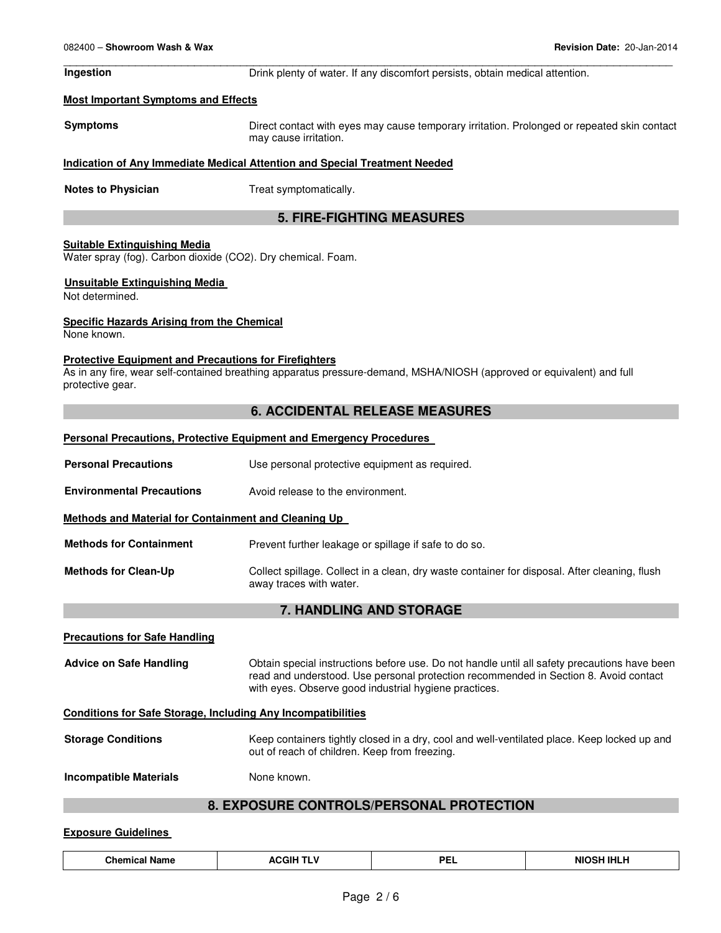\_\_\_\_\_\_\_\_\_\_\_\_\_\_\_\_\_\_\_\_\_\_\_\_\_\_\_\_\_\_\_\_\_\_\_\_\_\_\_\_\_\_\_\_\_\_\_\_\_\_\_\_\_\_\_\_\_\_\_\_\_\_\_\_\_\_\_\_\_\_\_\_\_\_\_\_\_\_\_\_\_\_\_\_\_\_\_\_\_\_\_\_\_ **Ingestion Drink plenty of water. If any discomfort persists, obtain medical attention.** 

### **Most Important Symptoms and Effects**

**Symptoms** Direct contact with eyes may cause temporary irritation. Prolonged or repeated skin contact may cause irritation.

# **Indication of Any Immediate Medical Attention and Special Treatment Needed**

**Notes to Physician**  Treat symptomatically.

# **5. FIRE-FIGHTING MEASURES**

### **Suitable Extinguishing Media**

Water spray (fog). Carbon dioxide (CO2). Dry chemical. Foam.

### **Unsuitable Extinguishing Media**

Not determined.

### **Specific Hazards Arising from the Chemical**

None known.

### **Protective Equipment and Precautions for Firefighters**

As in any fire, wear self-contained breathing apparatus pressure-demand, MSHA/NIOSH (approved or equivalent) and full protective gear.

# **6. ACCIDENTAL RELEASE MEASURES**

#### **Personal Precautions, Protective Equipment and Emergency Procedures**

| <b>Personal Precautions</b>                                         | Use personal protective equipment as required.                                                                                                                                                                                                |  |
|---------------------------------------------------------------------|-----------------------------------------------------------------------------------------------------------------------------------------------------------------------------------------------------------------------------------------------|--|
| <b>Environmental Precautions</b>                                    | Avoid release to the environment.                                                                                                                                                                                                             |  |
| <b>Methods and Material for Containment and Cleaning Up</b>         |                                                                                                                                                                                                                                               |  |
| <b>Methods for Containment</b>                                      | Prevent further leakage or spillage if safe to do so.                                                                                                                                                                                         |  |
| <b>Methods for Clean-Up</b>                                         | Collect spillage. Collect in a clean, dry waste container for disposal. After cleaning, flush<br>away traces with water.                                                                                                                      |  |
| <b>7. HANDLING AND STORAGE</b>                                      |                                                                                                                                                                                                                                               |  |
| <b>Precautions for Safe Handling</b>                                |                                                                                                                                                                                                                                               |  |
| <b>Advice on Safe Handling</b>                                      | Obtain special instructions before use. Do not handle until all safety precautions have been<br>read and understood. Use personal protection recommended in Section 8. Avoid contact<br>with eyes. Observe good industrial hygiene practices. |  |
| <b>Conditions for Safe Storage, Including Any Incompatibilities</b> |                                                                                                                                                                                                                                               |  |
| <b>Storage Conditions</b>                                           | Keep containers tightly closed in a dry, cool and well-ventilated place. Keep locked up and<br>out of reach of children. Keep from freezing.                                                                                                  |  |
| <b>Incompatible Materials</b>                                       | None known.                                                                                                                                                                                                                                   |  |
|                                                                     | <b>8. EXPOSURE CONTROLS/PERSONAL PROTECTION</b>                                                                                                                                                                                               |  |

# **Exposure Guidelines**

| Chemical Name | <b>ACGIH TLV</b> | DЕ<br>. | <b>NIOSH IHLH</b> |
|---------------|------------------|---------|-------------------|
|---------------|------------------|---------|-------------------|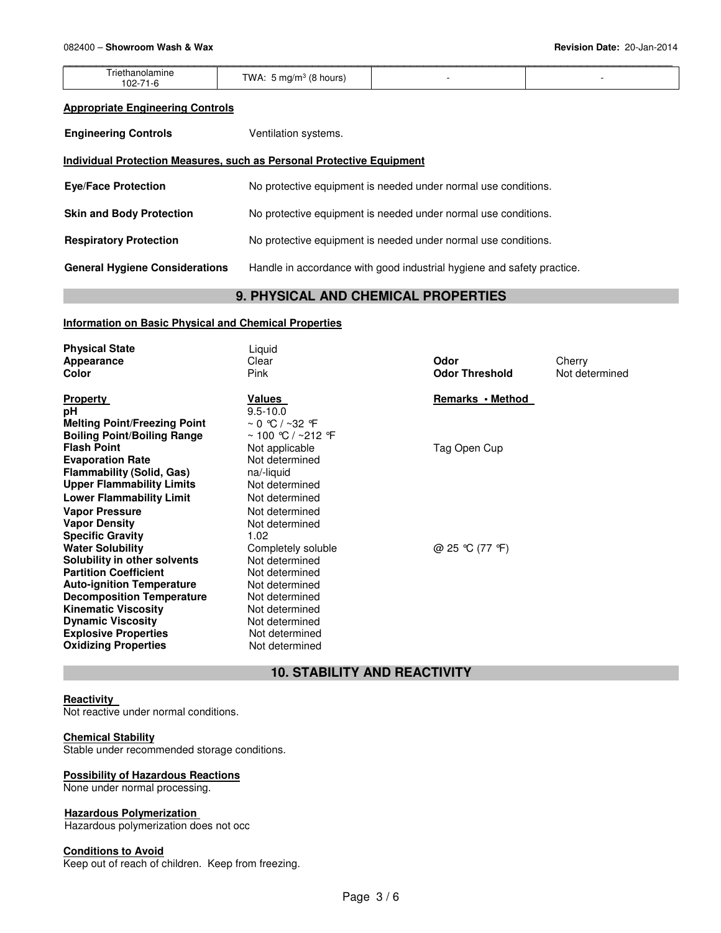|                                       |                                                 | _____ |
|---------------------------------------|-------------------------------------------------|-------|
| rieth<br>piamine<br>، ה<br><b>UZ-</b> | ΓW<br>י י<br>hours<br>$\cdot$ 1/ $\cdot$<br>. . |       |

## **Appropriate Engineering Controls**

**Engineering Controls Ventilation systems.** 

# **Individual Protection Measures, such as Personal Protective Equipment**

| <b>Eye/Face Protection</b>            | No protective equipment is needed under normal use conditions.         |
|---------------------------------------|------------------------------------------------------------------------|
| <b>Skin and Body Protection</b>       | No protective equipment is needed under normal use conditions.         |
| <b>Respiratory Protection</b>         | No protective equipment is needed under normal use conditions.         |
| <b>General Hygiene Considerations</b> | Handle in accordance with good industrial hygiene and safety practice. |

# **9. PHYSICAL AND CHEMICAL PROPERTIES**

# **Information on Basic Physical and Chemical Properties**

| <b>Physical State</b><br>Appearance<br>Color                                                                                                                                                                                                                                            | Liquid<br>Clear<br>Pink                                                                                                                                            | Odor<br><b>Odor Threshold</b> | Cherry<br>Not determined |
|-----------------------------------------------------------------------------------------------------------------------------------------------------------------------------------------------------------------------------------------------------------------------------------------|--------------------------------------------------------------------------------------------------------------------------------------------------------------------|-------------------------------|--------------------------|
| <b>Property</b><br>рH<br><b>Melting Point/Freezing Point</b><br><b>Boiling Point/Boiling Range</b>                                                                                                                                                                                      | Values<br>$9.5 - 10.0$<br>$\sim$ 0 °C / ~32 °F<br>$\sim$ 100 °C / $\sim$ 212 °F                                                                                    | Remarks • Method              |                          |
| <b>Flash Point</b><br><b>Evaporation Rate</b><br><b>Flammability (Solid, Gas)</b><br><b>Upper Flammability Limits</b><br><b>Lower Flammability Limit</b><br><b>Vapor Pressure</b><br><b>Vapor Density</b><br><b>Specific Gravity</b>                                                    | Not applicable<br>Not determined<br>na/-liquid<br>Not determined<br>Not determined<br>Not determined<br>Not determined<br>1.02                                     | Tag Open Cup                  |                          |
| <b>Water Solubility</b><br>Solubility in other solvents<br><b>Partition Coefficient</b><br><b>Auto-ignition Temperature</b><br><b>Decomposition Temperature</b><br><b>Kinematic Viscosity</b><br><b>Dynamic Viscosity</b><br><b>Explosive Properties</b><br><b>Oxidizing Properties</b> | Completely soluble<br>Not determined<br>Not determined<br>Not determined<br>Not determined<br>Not determined<br>Not determined<br>Not determined<br>Not determined | @ 25 °C (77 °F)               |                          |

# **10. STABILITY AND REACTIVITY**

# **Reactivity**

Not reactive under normal conditions.

# **Chemical Stability**

Stable under recommended storage conditions.

# **Possibility of Hazardous Reactions**

None under normal processing.

## **Hazardous Polymerization**

Hazardous polymerization does not occ

# **Conditions to Avoid**

Keep out of reach of children. Keep from freezing.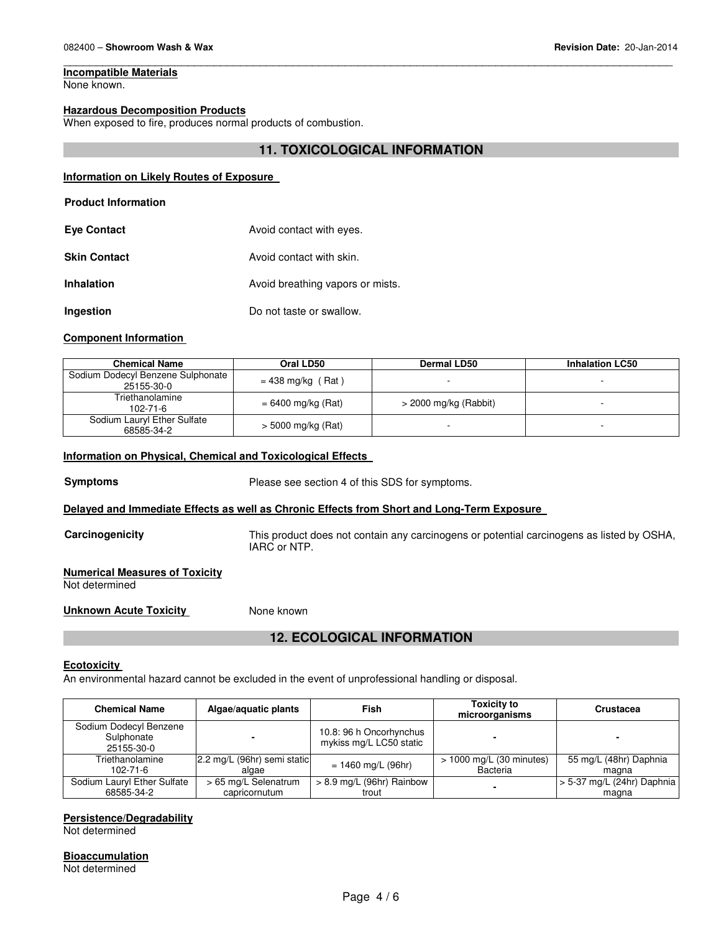# **Incompatible Materials**

None known.

# **Hazardous Decomposition Products**

When exposed to fire, produces normal products of combustion.

# **11. TOXICOLOGICAL INFORMATION**

\_\_\_\_\_\_\_\_\_\_\_\_\_\_\_\_\_\_\_\_\_\_\_\_\_\_\_\_\_\_\_\_\_\_\_\_\_\_\_\_\_\_\_\_\_\_\_\_\_\_\_\_\_\_\_\_\_\_\_\_\_\_\_\_\_\_\_\_\_\_\_\_\_\_\_\_\_\_\_\_\_\_\_\_\_\_\_\_\_\_\_\_\_

#### **Information on Likely Routes of Exposure**

# **Product Information**

| <b>Eye Contact</b>  | Avoid contact with eyes.         |
|---------------------|----------------------------------|
| <b>Skin Contact</b> | Avoid contact with skin.         |
| <b>Inhalation</b>   | Avoid breathing vapors or mists. |
| Ingestion           | Do not taste or swallow.         |

### **Component Information**

| <b>Chemical Name</b>                            | Oral LD50            | <b>Dermal LD50</b>      | <b>Inhalation LC50</b> |
|-------------------------------------------------|----------------------|-------------------------|------------------------|
| Sodium Dodecyl Benzene Sulphonate<br>25155-30-0 | $= 438$ mg/kg (Rat)  |                         |                        |
| Triethanolamine<br>102-71-6                     | $= 6400$ mg/kg (Rat) | $>$ 2000 mg/kg (Rabbit) |                        |
| Sodium Lauryl Ether Sulfate<br>68585-34-2       | > 5000 mg/kg (Rat)   |                         |                        |

### **Information on Physical, Chemical and Toxicological Effects**

**Symptoms** Please see section 4 of this SDS for symptoms.

# **Delayed and Immediate Effects as well as Chronic Effects from Short and Long-Term Exposure**

**Carcinogenicity** This product does not contain any carcinogens or potential carcinogens as listed by OSHA, IARC or NTP.

#### **Numerical Measures of Toxicity** Not determined

**Unknown Acute Toxicity None known** 

# **12. ECOLOGICAL INFORMATION**

#### **Ecotoxicity**

An environmental hazard cannot be excluded in the event of unprofessional handling or disposal.

| <b>Chemical Name</b>                               | Algae/aquatic plants        | Fish                                               | <b>Toxicity to</b><br>microorganisms | <b>Crustacea</b>             |
|----------------------------------------------------|-----------------------------|----------------------------------------------------|--------------------------------------|------------------------------|
| Sodium Dodecyl Benzene<br>Sulphonate<br>25155-30-0 |                             | 10.8: 96 h Oncorhynchus<br>mykiss mg/L LC50 static |                                      |                              |
| Triethanolamine                                    | 2.2 mg/L (96hr) semi static | $= 1460$ mg/L (96hr)                               | > 1000 mg/L (30 minutes)             | 55 mg/L (48hr) Daphnia       |
| $102 - 71 - 6$                                     | algae                       |                                                    | Bacteria                             | magna                        |
| Sodium Lauryl Ether Sulfate                        | > 65 mg/L Selenatrum        | $> 8.9$ mg/L (96hr) Rainbow                        |                                      | $> 5-37$ mg/L (24hr) Daphnia |
| 68585-34-2                                         | capricornutum               | trout                                              |                                      | magna                        |

#### **Persistence/Degradability**

Not determined

# **Bioaccumulation**

Not determined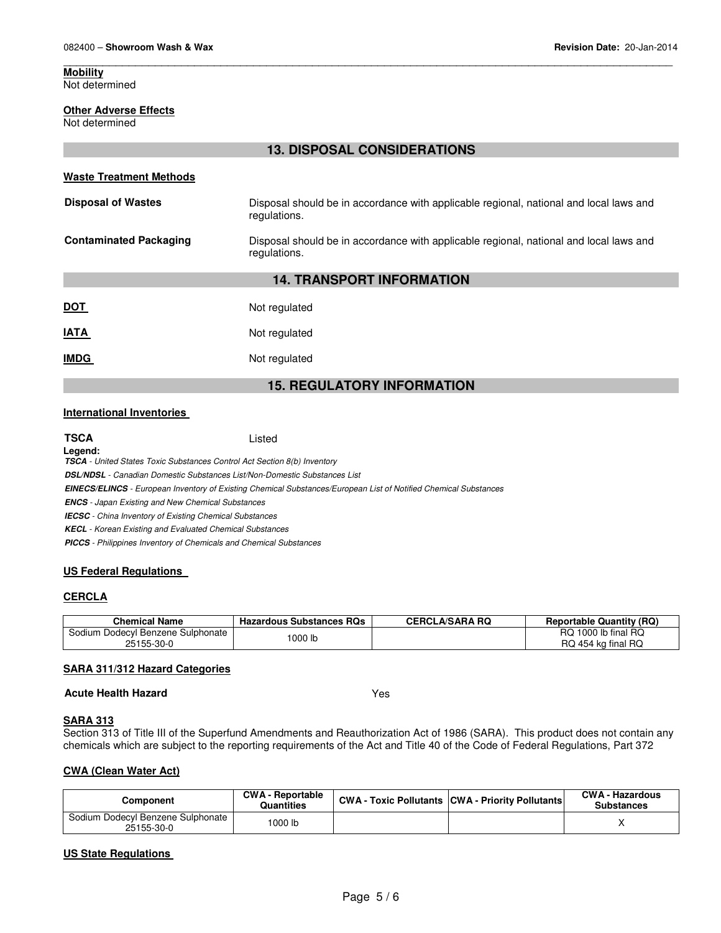Not determined

# **13. DISPOSAL CONSIDERATIONS**

\_\_\_\_\_\_\_\_\_\_\_\_\_\_\_\_\_\_\_\_\_\_\_\_\_\_\_\_\_\_\_\_\_\_\_\_\_\_\_\_\_\_\_\_\_\_\_\_\_\_\_\_\_\_\_\_\_\_\_\_\_\_\_\_\_\_\_\_\_\_\_\_\_\_\_\_\_\_\_\_\_\_\_\_\_\_\_\_\_\_\_\_\_

# **Waste Treatment Methods Disposal of Wastes** Disposal should be in accordance with applicable regional, national and local laws and regulations. **Contaminated Packaging** Disposal should be in accordance with applicable regional, national and local laws and regulations. **14. TRANSPORT INFORMATION DOT** Not regulated **IATA** Not regulated **IMDG** Not regulated **15. REGULATORY INFORMATION**

# **International Inventories**

| <b>TSCA</b>                                                                      | Listed                                                                                                                  |
|----------------------------------------------------------------------------------|-------------------------------------------------------------------------------------------------------------------------|
| Legend:                                                                          |                                                                                                                         |
| <b>TSCA</b> - United States Toxic Substances Control Act Section 8(b) Inventory  |                                                                                                                         |
| <b>DSL/NDSL</b> - Canadian Domestic Substances List/Non-Domestic Substances List |                                                                                                                         |
|                                                                                  | <b>EINECS/ELINCS</b> - European Inventory of Existing Chemical Substances/European List of Notified Chemical Substances |
| <b>ENCS</b> - Japan Existing and New Chemical Substances                         |                                                                                                                         |
| <b>IECSC</b> - China Inventory of Existing Chemical Substances                   |                                                                                                                         |
| <b>KECL</b> - Korean Existing and Evaluated Chemical Substances                  |                                                                                                                         |
| <b>PICCS</b> - Philippines Inventory of Chemicals and Chemical Substances        |                                                                                                                         |

# **US Federal Regulations**

# **CERCLA**

| <b>Chemical Name</b>                            | <b>Hazardous Substances RQs</b> | <b>CERCLA/SARA RQ</b> | <b>Reportable Quantity (RQ)</b>           |
|-------------------------------------------------|---------------------------------|-----------------------|-------------------------------------------|
| Sodium Dodecyl Benzene Sulphonate<br>25155-30-0 | 1000 lb                         |                       | RQ 1000 lb final RQ<br>RQ 454 kg final RQ |

# **SARA 311/312 Hazard Categories**

# **Acute Health Hazard** Yes

# **SARA 313**

Section 313 of Title III of the Superfund Amendments and Reauthorization Act of 1986 (SARA). This product does not contain any chemicals which are subject to the reporting requirements of the Act and Title 40 of the Code of Federal Regulations, Part 372

# **CWA (Clean Water Act)**

| Component                                       | <b>CWA - Reportable</b><br><b>Quantities</b> | <b>CWA - Toxic Pollutants CWA - Priority Pollutants</b> | <b>CWA - Hazardous</b><br><b>Substances</b> |
|-------------------------------------------------|----------------------------------------------|---------------------------------------------------------|---------------------------------------------|
| Sodium Dodecyl Benzene Sulphonate<br>25155-30-0 | 1000 lb                                      |                                                         |                                             |

# **US State Regulations**